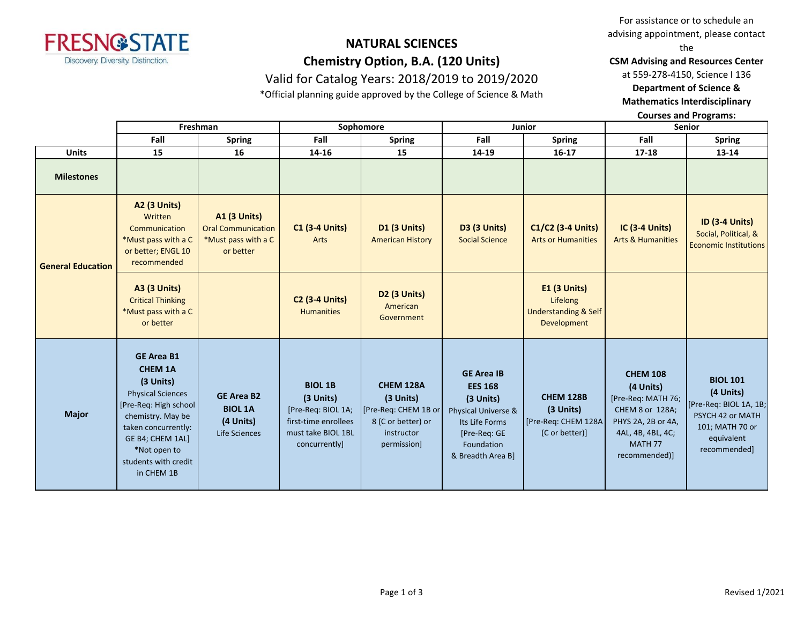

### **NATURAL SCIENCES Chemistry Option, B.A. (120 Units)** Valid for Catalog Years: 2018/2019 to 2019/2020

\*Official planning guide approved by the College of Science & Math

For assistance or to schedule an advising appointment, please contact the

**CSM Advising and Resources Center** 

at 559-278-4150, Science I 136

**Department of Science & Mathematics Interdisciplinary** 

**Courses and Programs:**

|                          | Freshman                                                                                                                                                                                                                     |                                                                                      | Sophomore                                                                                                        |                                                                                                          | Junior                                                                                                                                       |                                                                                   | <b>Senior</b>                                                                                                                                           |                                                                                                                             |
|--------------------------|------------------------------------------------------------------------------------------------------------------------------------------------------------------------------------------------------------------------------|--------------------------------------------------------------------------------------|------------------------------------------------------------------------------------------------------------------|----------------------------------------------------------------------------------------------------------|----------------------------------------------------------------------------------------------------------------------------------------------|-----------------------------------------------------------------------------------|---------------------------------------------------------------------------------------------------------------------------------------------------------|-----------------------------------------------------------------------------------------------------------------------------|
|                          | Fall                                                                                                                                                                                                                         | <b>Spring</b>                                                                        | Fall                                                                                                             | <b>Spring</b>                                                                                            | Fall                                                                                                                                         | <b>Spring</b>                                                                     | Fall                                                                                                                                                    | <b>Spring</b>                                                                                                               |
| <b>Units</b>             | 15                                                                                                                                                                                                                           | 16                                                                                   | 14-16                                                                                                            | 15                                                                                                       | 14-19                                                                                                                                        | $16 - 17$                                                                         | $17 - 18$                                                                                                                                               | $13 - 14$                                                                                                                   |
| <b>Milestones</b>        |                                                                                                                                                                                                                              |                                                                                      |                                                                                                                  |                                                                                                          |                                                                                                                                              |                                                                                   |                                                                                                                                                         |                                                                                                                             |
| <b>General Education</b> | <b>A2 (3 Units)</b><br>Written<br>Communication<br>*Must pass with a C<br>or better; ENGL 10<br>recommended                                                                                                                  | <b>A1 (3 Units)</b><br><b>Oral Communication</b><br>*Must pass with a C<br>or better | <b>C1 (3-4 Units)</b><br>Arts                                                                                    | <b>D1 (3 Units)</b><br><b>American History</b>                                                           | <b>D3 (3 Units)</b><br><b>Social Science</b>                                                                                                 | C1/C2 (3-4 Units)<br><b>Arts or Humanities</b>                                    | <b>IC (3-4 Units)</b><br><b>Arts &amp; Humanities</b>                                                                                                   | <b>ID (3-4 Units)</b><br>Social, Political, &<br><b>Economic Institutions</b>                                               |
|                          | <b>A3 (3 Units)</b><br><b>Critical Thinking</b><br>*Must pass with a C<br>or better                                                                                                                                          |                                                                                      | <b>C2 (3-4 Units)</b><br><b>Humanities</b>                                                                       | <b>D2 (3 Units)</b><br>American<br>Government                                                            |                                                                                                                                              | <b>E1 (3 Units)</b><br>Lifelong<br><b>Understanding &amp; Self</b><br>Development |                                                                                                                                                         |                                                                                                                             |
| <b>Major</b>             | <b>GE Area B1</b><br><b>CHEM 1A</b><br>(3 Units)<br><b>Physical Sciences</b><br>[Pre-Req: High school]<br>chemistry. May be<br>taken concurrently:<br>GE B4; CHEM 1AL]<br>*Not open to<br>students with credit<br>in CHEM 1B | <b>GE Area B2</b><br><b>BIOL 1A</b><br>(4 Units)<br>Life Sciences                    | <b>BIOL 1B</b><br>(3 Units)<br>[Pre-Req: BIOL 1A;<br>first-time enrollees<br>must take BIOL 1BL<br>concurrently] | <b>CHEM 128A</b><br>(3 Units)<br>[Pre-Req: CHEM 1B or<br>8 (C or better) or<br>instructor<br>permission] | <b>GE Area IB</b><br><b>EES 168</b><br>(3 Units)<br>Physical Universe &<br>Its Life Forms<br>[Pre-Req: GE<br>Foundation<br>& Breadth Area B] | <b>CHEM 128B</b><br>(3 Units)<br>[Pre-Req: CHEM 128A<br>(C or better)]            | <b>CHEM 108</b><br>(4 Units)<br>[Pre-Req: MATH 76;<br>CHEM 8 or 128A;<br>PHYS 2A, 2B or 4A,<br>4AL, 4B, 4BL, 4C;<br>MATH <sub>77</sub><br>recommended)] | <b>BIOL 101</b><br>(4 Units)<br>[Pre-Req: BIOL 1A, 1B;<br>PSYCH 42 or MATH<br>101; MATH 70 or<br>equivalent<br>recommended] |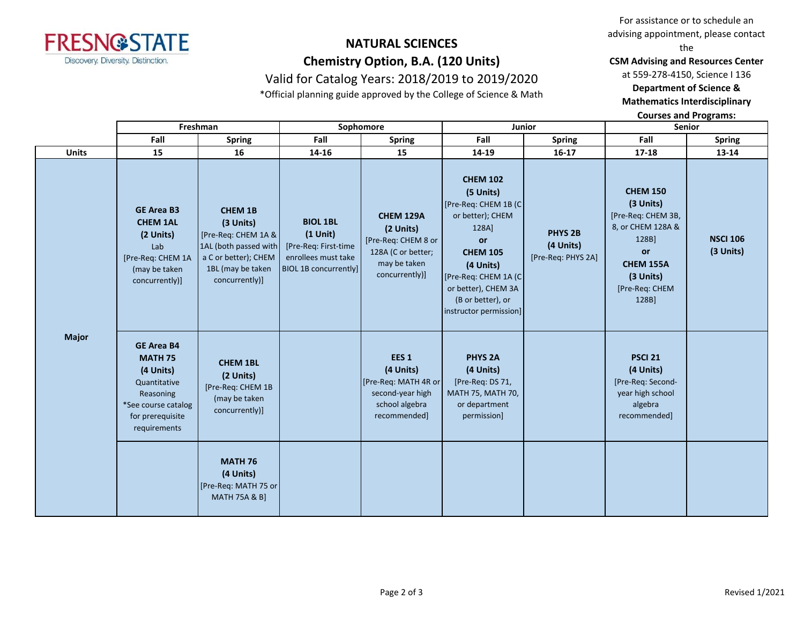

# **NATURAL SCIENCES Chemistry Option, B.A. (120 Units)**

Valid for Catalog Years: 2018/2019 to 2019/2020 \*Official planning guide approved by the College of Science & Math

For assistance or to schedule an advising appointment, please contact the

**CSM Advising and Resources Center** 

at 559-278-4150, Science I 136

**Department of Science &** 

**Mathematics Interdisciplinary** 

**Courses and Programs:**

|              | Freshman                                                                                                                                 |                                                                                                                                            | Sophomore                                                                                                    |                                                                                                              | Junior                                                                                                                                                                                                                        |                                                   | <b>Senior</b>                                                                                                                                             |                              |
|--------------|------------------------------------------------------------------------------------------------------------------------------------------|--------------------------------------------------------------------------------------------------------------------------------------------|--------------------------------------------------------------------------------------------------------------|--------------------------------------------------------------------------------------------------------------|-------------------------------------------------------------------------------------------------------------------------------------------------------------------------------------------------------------------------------|---------------------------------------------------|-----------------------------------------------------------------------------------------------------------------------------------------------------------|------------------------------|
|              | Fall                                                                                                                                     | <b>Spring</b>                                                                                                                              | Fall                                                                                                         | <b>Spring</b>                                                                                                | Fall                                                                                                                                                                                                                          | <b>Spring</b>                                     | Fall                                                                                                                                                      | <b>Spring</b>                |
| <b>Units</b> | 15                                                                                                                                       | 16                                                                                                                                         | 14-16                                                                                                        | 15                                                                                                           | 14-19                                                                                                                                                                                                                         | $16 - 17$                                         | 17-18                                                                                                                                                     | 13-14                        |
| <b>Major</b> | <b>GE Area B3</b><br><b>CHEM 1AL</b><br>(2 Units)<br>Lab<br>[Pre-Req: CHEM 1A<br>(may be taken<br>concurrently)]                         | <b>CHEM 1B</b><br>(3 Units)<br>[Pre-Req: CHEM 1A &<br>1AL (both passed with<br>a C or better); CHEM<br>1BL (may be taken<br>concurrently)] | <b>BIOL 1BL</b><br>$(1$ Unit)<br>[Pre-Req: First-time<br>enrollees must take<br><b>BIOL 1B concurrently]</b> | <b>CHEM 129A</b><br>(2 Units)<br>[Pre-Req: CHEM 8 or<br>128A (C or better;<br>may be taken<br>concurrently)] | <b>CHEM 102</b><br>(5 Units)<br>[Pre-Req: CHEM 1B (C)<br>or better); CHEM<br>128A]<br><b>or</b><br><b>CHEM 105</b><br>(4 Units)<br>[Pre-Req: CHEM 1A (C<br>or better), CHEM 3A<br>(B or better), or<br>instructor permission] | <b>PHYS 2B</b><br>(4 Units)<br>[Pre-Req: PHYS 2A] | <b>CHEM 150</b><br>(3 Units)<br>[Pre-Req: CHEM 3B,<br>8, or CHEM 128A &<br>128B]<br><b>or</b><br><b>CHEM 155A</b><br>(3 Units)<br>[Pre-Req: CHEM<br>128B] | <b>NSCI 106</b><br>(3 Units) |
|              | <b>GE Area B4</b><br><b>MATH 75</b><br>(4 Units)<br>Quantitative<br>Reasoning<br>*See course catalog<br>for prerequisite<br>requirements | <b>CHEM 1BL</b><br>(2 Units)<br>[Pre-Req: CHEM 1B<br>(may be taken<br>concurrently)]                                                       |                                                                                                              | EES <sub>1</sub><br>(4 Units)<br>[Pre-Req: MATH 4R or<br>second-year high<br>school algebra<br>recommended]  | <b>PHYS 2A</b><br>(4 Units)<br>[Pre-Req: DS 71,<br>MATH 75, MATH 70,<br>or department<br>permission]                                                                                                                          |                                                   | <b>PSCI 21</b><br>(4 Units)<br>[Pre-Req: Second-<br>year high school<br>algebra<br>recommended]                                                           |                              |
|              |                                                                                                                                          | <b>MATH 76</b><br>(4 Units)<br>[Pre-Req: MATH 75 or<br><b>MATH 75A &amp; B]</b>                                                            |                                                                                                              |                                                                                                              |                                                                                                                                                                                                                               |                                                   |                                                                                                                                                           |                              |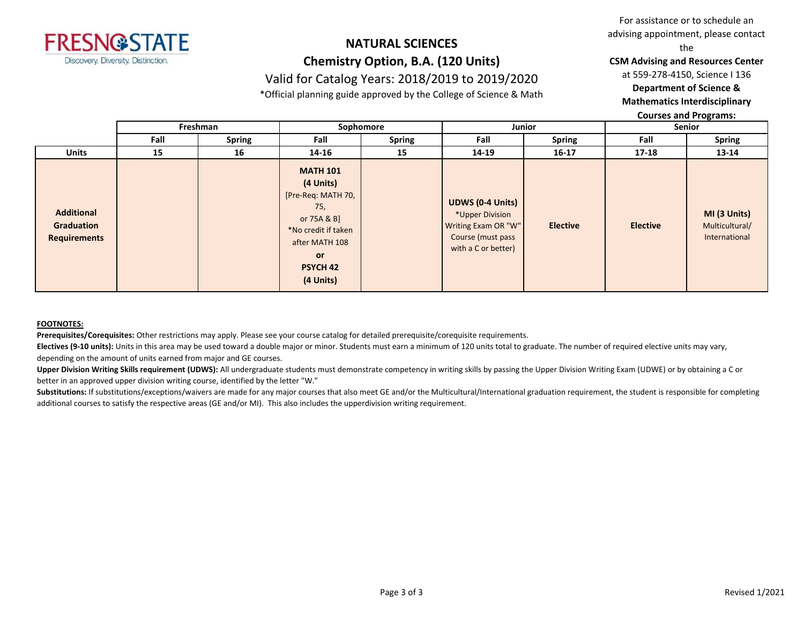

### **NATURAL SCIENCES Chemistry Option, B.A. (120 Units)** Valid for Catalog Years: 2018/2019 to 2019/2020

\*Official planning guide approved by the College of Science & Math

For assistance or to schedule an advising appointment, please contact the

**CSM Advising and Resources Center** 

at 559-278-4150, Science I 136

**Department of Science &** 

**Mathematics Interdisciplinary** 

**Courses and Programs:**

|                                                        | Freshman |               | Sophomore                                                                                                                                                      |               | Junior                                                                                                        |                 | Senior          |                                                 |
|--------------------------------------------------------|----------|---------------|----------------------------------------------------------------------------------------------------------------------------------------------------------------|---------------|---------------------------------------------------------------------------------------------------------------|-----------------|-----------------|-------------------------------------------------|
|                                                        | Fall     | <b>Spring</b> | Fall                                                                                                                                                           | <b>Spring</b> | Fall                                                                                                          | <b>Spring</b>   | Fall            | <b>Spring</b>                                   |
| <b>Units</b>                                           | 15       | 16            | 14-16                                                                                                                                                          | 15            | 14-19                                                                                                         | $16 - 17$       | $17 - 18$       | 13-14                                           |
| <b>Additional</b><br>Graduation<br><b>Requirements</b> |          |               | <b>MATH 101</b><br>(4 Units)<br>[Pre-Req: MATH 70,<br>75,<br>or 75A & B]<br>*No credit if taken<br>after MATH 108<br><b>or</b><br><b>PSYCH 42</b><br>(4 Units) |               | <b>UDWS (0-4 Units)</b><br>*Upper Division<br>Writing Exam OR "W"<br>Course (must pass<br>with a C or better) | <b>Elective</b> | <b>Elective</b> | MI (3 Units)<br>Multicultural/<br>International |

#### **FOOTNOTES:**

**Prerequisites/Corequisites:** Other restrictions may apply. Please see your course catalog for detailed prerequisite/corequisite requirements.

**Electives (9-10 units):** Units in this area may be used toward a double major or minor. Students must earn a minimum of 120 units total to graduate. The number of required elective units may vary, depending on the amount of units earned from major and GE courses.

**Upper Division Writing Skills requirement (UDWS):** All undergraduate students must demonstrate competency in writing skills by passing the Upper Division Writing Exam (UDWE) or by obtaining a C or better in an approved upper division writing course, identified by the letter "W."

Substitutions: If substitutions/exceptions/waivers are made for any major courses that also meet GE and/or the Multicultural/International graduation requirement, the student is responsible for completing additional courses to satisfy the respective areas (GE and/or MI). This also includes the upperdivision writing requirement.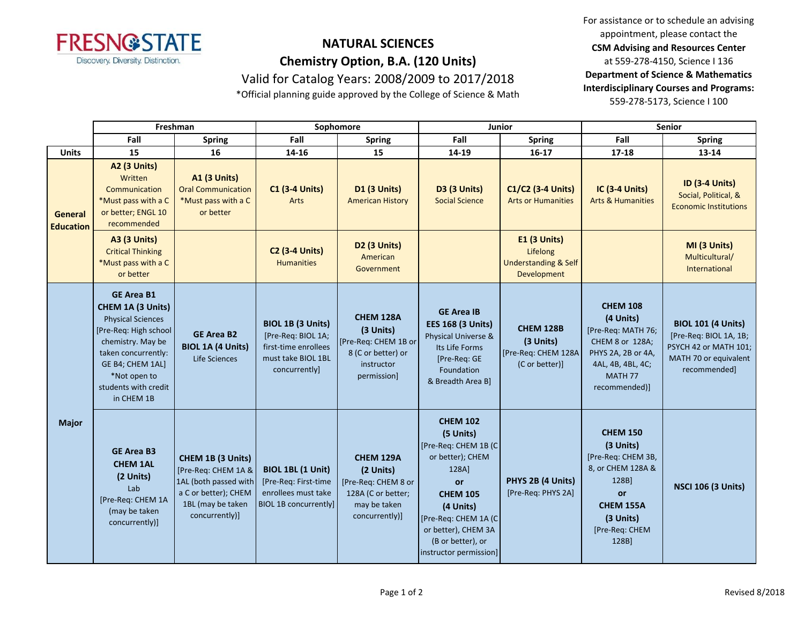

## **NATURAL SCIENCES Chemistry Option, B.A. (120 Units)**

Valid for Catalog Years: 2008/2009 to 2017/2018

\*Official planning guide approved by the College of Science & Math

For assistance or to schedule an advising appointment, please contact the **CSM Advising and Resources Center**  at 559-278-4150, Science I 136 **Department of Science & Mathematics Interdisciplinary Courses and Programs:** 559-278-5173, Science I 100

|                             | Freshman                                                                                                                                                                                                          |                                                                                                                                  | Sophomore                                                                                               |                                                                                                          | Junior                                                                                                                                                                                                                |                                                                            | <b>Senior</b>                                                                                                                                           |                                                                                                                       |
|-----------------------------|-------------------------------------------------------------------------------------------------------------------------------------------------------------------------------------------------------------------|----------------------------------------------------------------------------------------------------------------------------------|---------------------------------------------------------------------------------------------------------|----------------------------------------------------------------------------------------------------------|-----------------------------------------------------------------------------------------------------------------------------------------------------------------------------------------------------------------------|----------------------------------------------------------------------------|---------------------------------------------------------------------------------------------------------------------------------------------------------|-----------------------------------------------------------------------------------------------------------------------|
|                             | Fall                                                                                                                                                                                                              | <b>Spring</b>                                                                                                                    | Fall                                                                                                    | <b>Spring</b>                                                                                            | Fall                                                                                                                                                                                                                  | <b>Spring</b>                                                              | Fall                                                                                                                                                    | <b>Spring</b>                                                                                                         |
| <b>Units</b>                | 15                                                                                                                                                                                                                | 16                                                                                                                               | 14-16                                                                                                   | 15                                                                                                       | 14-19                                                                                                                                                                                                                 | $16-17$                                                                    | 17-18                                                                                                                                                   | 13-14                                                                                                                 |
| General<br><b>Education</b> | A2 (3 Units)<br>Written<br>Communication<br>*Must pass with a C<br>or better; ENGL 10<br>recommended                                                                                                              | <b>A1 (3 Units)</b><br><b>Oral Communication</b><br>*Must pass with a C<br>or better                                             | <b>C1 (3-4 Units)</b><br>Arts                                                                           | D1 (3 Units)<br><b>American History</b>                                                                  | D3 (3 Units)<br><b>Social Science</b>                                                                                                                                                                                 | C1/C2 (3-4 Units)<br><b>Arts or Humanities</b>                             | <b>IC (3-4 Units)</b><br><b>Arts &amp; Humanities</b>                                                                                                   | <b>ID (3-4 Units)</b><br>Social, Political, &<br><b>Economic Institutions</b>                                         |
|                             | <b>A3 (3 Units)</b><br><b>Critical Thinking</b><br>*Must pass with a C<br>or better                                                                                                                               |                                                                                                                                  | <b>C2 (3-4 Units)</b><br><b>Humanities</b>                                                              | D2 (3 Units)<br>American<br>Government                                                                   |                                                                                                                                                                                                                       | E1 (3 Units)<br>Lifelong<br><b>Understanding &amp; Self</b><br>Development |                                                                                                                                                         | MI (3 Units)<br>Multicultural/<br>International                                                                       |
| <b>Major</b>                | <b>GE Area B1</b><br>CHEM 1A (3 Units)<br><b>Physical Sciences</b><br>[Pre-Req: High school<br>chemistry. May be<br>taken concurrently:<br>GE B4; CHEM 1AL]<br>*Not open to<br>students with credit<br>in CHEM 1B | <b>GE Area B2</b><br><b>BIOL 1A (4 Units)</b><br>Life Sciences                                                                   | BIOL 1B (3 Units)<br>[Pre-Req: BIOL 1A;<br>first-time enrollees<br>must take BIOL 1BL<br>concurrently]  | <b>CHEM 128A</b><br>(3 Units)<br>[Pre-Req: CHEM 1B or<br>8 (C or better) or<br>instructor<br>permission] | <b>GE Area IB</b><br><b>EES 168 (3 Units)</b><br>Physical Universe &<br>Its Life Forms<br>[Pre-Req: GE<br>Foundation<br>& Breadth Area B]                                                                             | <b>CHEM 128B</b><br>(3 Units)<br>[Pre-Req: CHEM 128A<br>(C or better)]     | <b>CHEM 108</b><br>(4 Units)<br>[Pre-Req: MATH 76;<br>CHEM 8 or 128A;<br>PHYS 2A, 2B or 4A,<br>4AL, 4B, 4BL, 4C;<br>MATH <sub>77</sub><br>recommended)] | <b>BIOL 101 (4 Units)</b><br>[Pre-Req: BIOL 1A, 1B;<br>PSYCH 42 or MATH 101;<br>MATH 70 or equivalent<br>recommended] |
|                             | <b>GE Area B3</b><br><b>CHEM 1AL</b><br>(2 Units)<br>Lab<br>[Pre-Req: CHEM 1A<br>(may be taken<br>concurrently)]                                                                                                  | CHEM 1B (3 Units)<br>[Pre-Req: CHEM 1A &<br>1AL (both passed with<br>a C or better); CHEM<br>1BL (may be taken<br>concurrently)] | <b>BIOL 1BL (1 Unit)</b><br>[Pre-Req: First-time<br>enrollees must take<br><b>BIOL 1B concurrently]</b> | CHEM 129A<br>(2 Units)<br>[Pre-Req: CHEM 8 or<br>128A (C or better;<br>may be taken<br>concurrently)]    | <b>CHEM 102</b><br>(5 Units)<br>[Pre-Req: CHEM 1B (C<br>or better); CHEM<br>128A]<br>or<br><b>CHEM 105</b><br>(4 Units)<br>[Pre-Req: CHEM 1A (C<br>or better), CHEM 3A<br>(B or better), or<br>instructor permission] | PHYS 2B (4 Units)<br>[Pre-Req: PHYS 2A]                                    | <b>CHEM 150</b><br>(3 Units)<br>[Pre-Req: CHEM 3B,<br>8, or CHEM 128A &<br>128B]<br>or<br>CHEM 155A<br>(3 Units)<br>[Pre-Req: CHEM<br>128B]             | <b>NSCI 106 (3 Units)</b>                                                                                             |